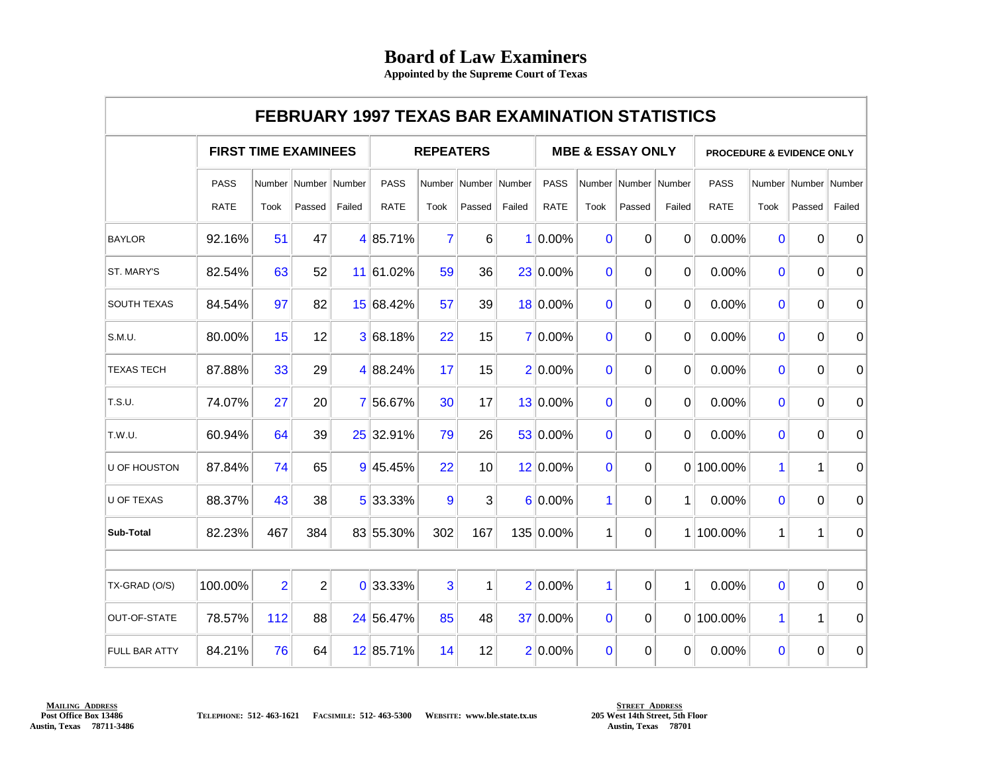## **Board of Law Examiners**

**Appointed by the Supreme Court of Texas**

|                      | <b>FEBRUARY 1997 TEXAS BAR EXAMINATION STATISTICS</b> |                |                |               |                  |                |                 |        |                             |              |                          |              |                                      |                |                          |             |
|----------------------|-------------------------------------------------------|----------------|----------------|---------------|------------------|----------------|-----------------|--------|-----------------------------|--------------|--------------------------|--------------|--------------------------------------|----------------|--------------------------|-------------|
|                      | <b>FIRST TIME EXAMINEES</b>                           |                |                |               | <b>REPEATERS</b> |                |                 |        | <b>MBE &amp; ESSAY ONLY</b> |              |                          |              | <b>PROCEDURE &amp; EVIDENCE ONLY</b> |                |                          |             |
|                      | <b>PASS</b>                                           | Number         |                | Number Number | <b>PASS</b>      |                | Number   Number | Number | <b>PASS</b>                 |              | Number   Number   Number |              | <b>PASS</b>                          |                | Number   Number   Number |             |
|                      | <b>RATE</b>                                           | Took           | Passed         | Failed        | <b>RATE</b>      | Took           | Passed          | Failed | <b>RATE</b>                 | Took         | Passed                   | Failed       | <b>RATE</b>                          | Took           | Passed                   | Failed      |
| <b>BAYLOR</b>        | 92.16%                                                | 51             | 47             |               | 4 85.71%         | $\overline{7}$ | 6               |        | $1 0.00\%$                  | $\mathbf{0}$ | $\Omega$                 | $\Omega$     | 0.00%                                | $\overline{0}$ | $\Omega$                 | $\mathbf 0$ |
| ST. MARY'S           | 82.54%                                                | 63             | 52             |               | 11 61.02%        | 59             | 36              |        | 23 0.00%                    | $\mathbf{0}$ | $\Omega$                 | $\Omega$     | 0.00%                                | $\mathbf{0}$   | $\Omega$                 | 0           |
| <b>SOUTH TEXAS</b>   | 84.54%                                                | 97             | 82             |               | 15 68.42%        | 57             | 39              |        | 18 0.00%                    | $\mathbf{0}$ | 0                        | $\Omega$     | 0.00%                                | $\mathbf{0}$   | $\Omega$                 | $\mathbf 0$ |
| S.M.U.               | 80.00%                                                | 15             | 12             |               | 3 68.18%         | 22             | 15              |        | 7 0.00%                     | $\Omega$     | $\Omega$                 | $\Omega$     | 0.00%                                | $\Omega$       | $\Omega$                 | 0           |
| <b>TEXAS TECH</b>    | 87.88%                                                | 33             | 29             |               | 4 88.24%         | 17             | 15              |        | 2 0.00%                     | $\mathbf{0}$ | $\Omega$                 | $\Omega$     | 0.00%                                | $\mathbf{0}$   | 0                        | $\mathbf 0$ |
| T.S.U.               | 74.07%                                                | 27             | 20             |               | 7 56.67%         | 30             | 17              |        | 13 0.00%                    | $\mathbf{0}$ | 0                        | $\Omega$     | 0.00%                                | $\mathbf 0$    | 0                        | $\mathbf 0$ |
| T.W.U.               | 60.94%                                                | 64             | 39             |               | 25 32.91%        | 79             | 26              |        | 53 0.00%                    | $\mathbf{0}$ | $\Omega$                 | $\Omega$     | 0.00%                                | $\overline{0}$ | $\Omega$                 | 0           |
| <b>U OF HOUSTON</b>  | 87.84%                                                | 74             | 65             |               | 9 45.45%         | 22             | 10              |        | 12 0.00%                    | $\Omega$     | $\Omega$                 |              | 0 100.00%                            | $\mathbf{1}$   | 1                        | $\mathbf 0$ |
| <b>U OF TEXAS</b>    | 88.37%                                                | 43             | 38             |               | 5 33.33%         | $\overline{9}$ | 3               |        | $6 0.00\%$                  | 1            | 0                        | $\mathbf{1}$ | 0.00%                                | $\mathbf{0}$   | $\Omega$                 | $\mathbf 0$ |
| Sub-Total            | 82.23%                                                | 467            | 384            |               | 83 55.30%        | 302            | 167             |        | 135 0.00%                   | 1            | 0                        |              | 1 100.00%                            | 1              | 1                        | 0           |
|                      |                                                       |                |                |               |                  |                |                 |        |                             |              |                          |              |                                      |                |                          |             |
| TX-GRAD (O/S)        | 100.00%                                               | $\overline{2}$ | $\overline{2}$ |               | 0 33.33%         | $\overline{3}$ | 1               |        | $2 0.00\%$                  | 1            | $\Omega$                 | 1            | 0.00%                                | $\Omega$       | $\Omega$                 | $\Omega$    |
| <b>OUT-OF-STATE</b>  | 78.57%                                                | 112            | 88             |               | 24 56.47%        | 85             | 48              |        | 37 0.00%                    | $\Omega$     | $\Omega$                 |              | 0 100.00%                            | $\mathbf{1}$   | 1                        | 0           |
| <b>FULL BAR ATTY</b> | 84.21%                                                | 76             | 64             |               | 12 85.71%        | 14             | 12              |        | $2 0.00\%$                  | $\mathbf{0}$ | $\Omega$                 | $\Omega$     | 0.00%                                | $\mathbf{0}$   | $\Omega$                 | $\pmb{0}$   |

**MAILING ADDRESS Post Office Box 13486 Austin, Texas 78711-3486**